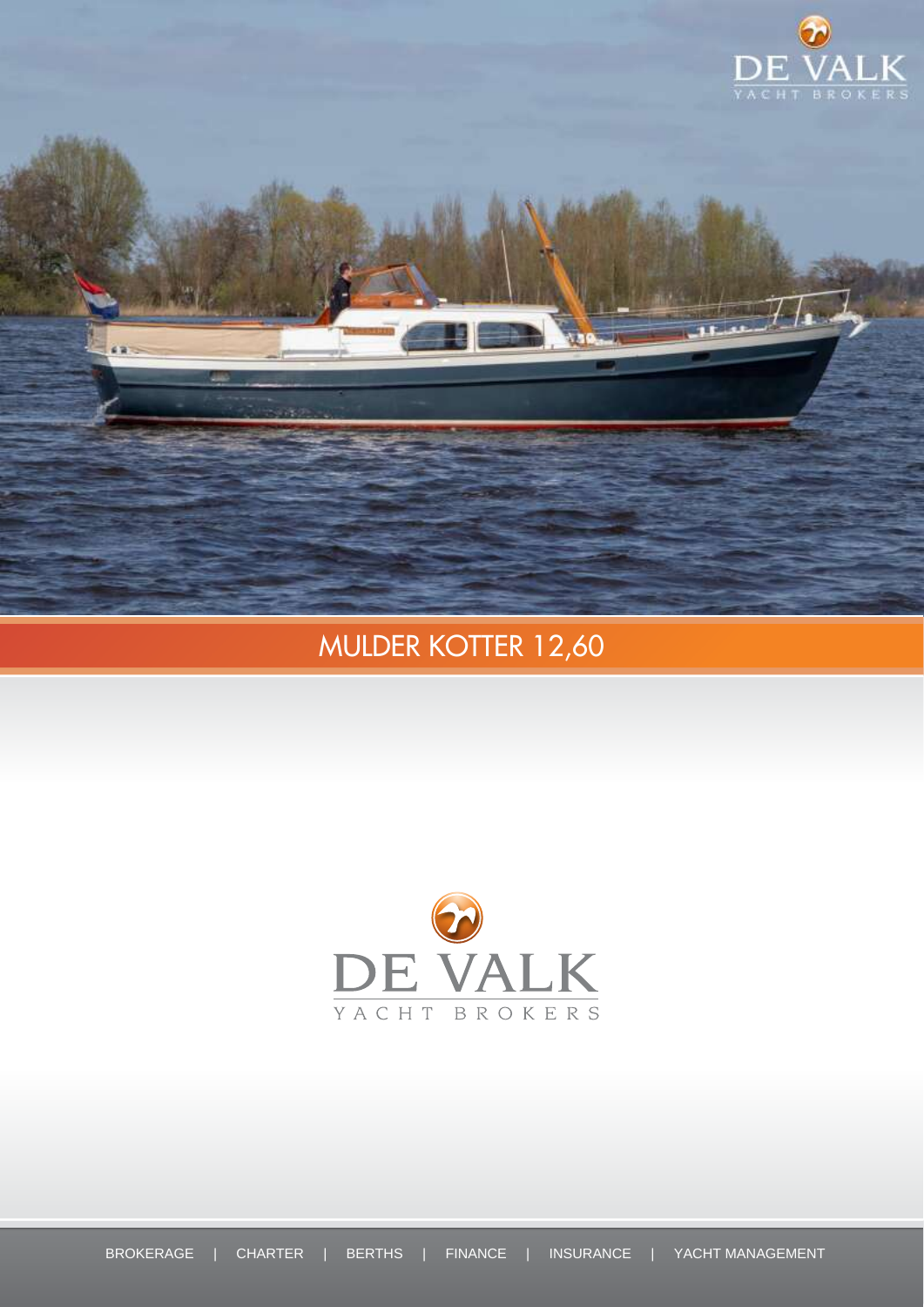

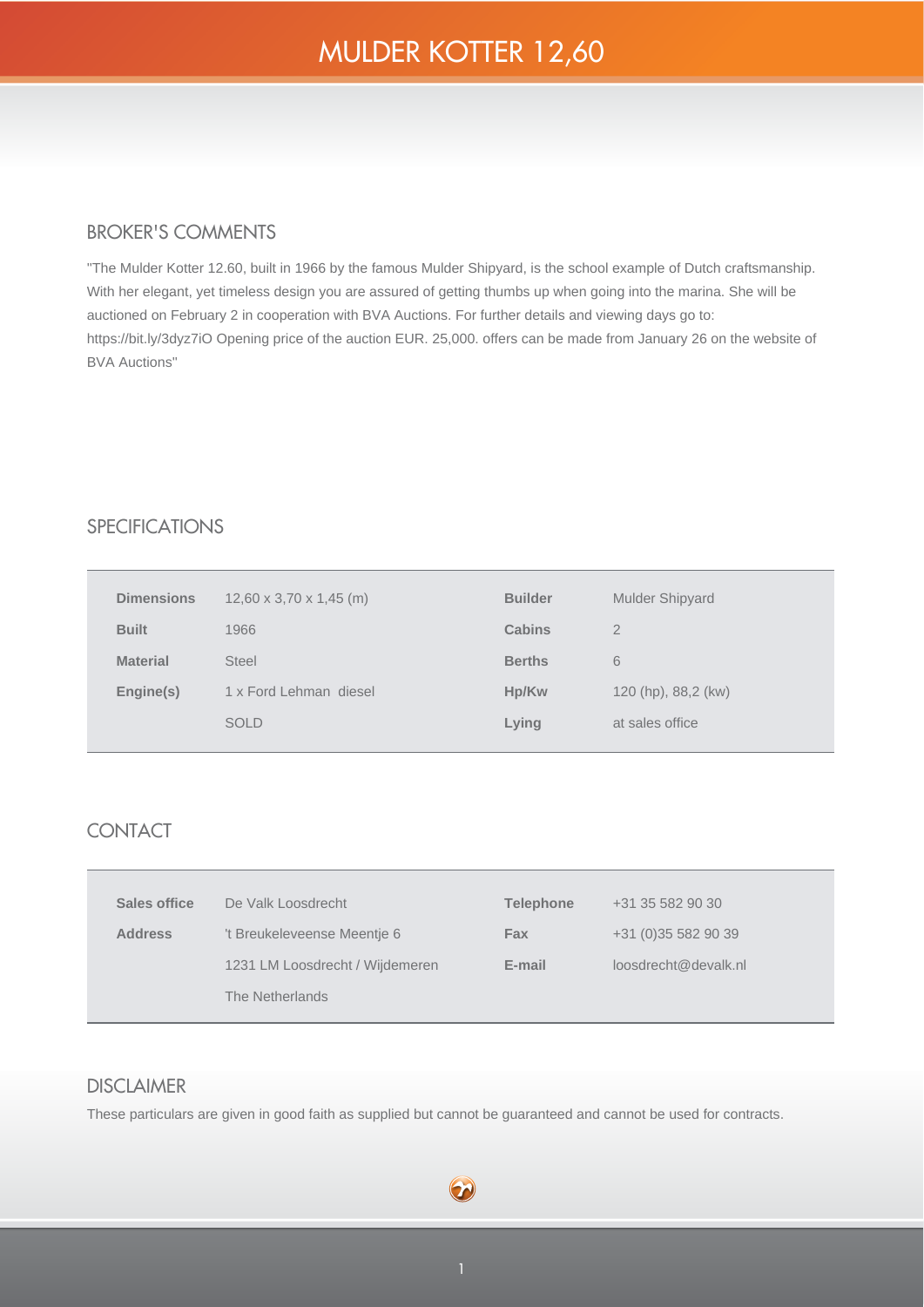#### **BROKER'S COMMENTS**

''The Mulder Kotter 12.60, built in 1966 by the famous Mulder Shipyard, is the school example of Dutch craftsmanship. With her elegant, yet timeless design you are assured of getting thumbs up when going into the marina. She will be auctioned on February 2 in cooperation with BVA Auctions. For further details and viewing days go to: https://bit.ly/3dyz7iO Opening price of the auction EUR. 25,000. offers can be made from January 26 on the website of BVA Auctions''

#### **SPECIFICATIONS**

| <b>Dimensions</b> | $12,60 \times 3,70 \times 1,45$ (m) | <b>Builder</b> | Mulder Shipyard     |
|-------------------|-------------------------------------|----------------|---------------------|
| <b>Built</b>      | 1966                                | Cabins         | $\overline{2}$      |
| <b>Material</b>   | <b>Steel</b>                        | <b>Berths</b>  | 6                   |
| Engine(s)         | 1 x Ford Lehman diesel              | Hp/Kw          | 120 (hp), 88,2 (kw) |
|                   | <b>SOLD</b>                         | Lying          | at sales office     |
|                   |                                     |                |                     |

### **CONTACT**

| Sales office   | De Valk Loosdrecht              | <b>Telephone</b> | +31 35 582 90 30     |
|----------------|---------------------------------|------------------|----------------------|
| <b>Address</b> | 't Breukeleveense Meentje 6     | Fax              | +31 (0) 35 582 90 39 |
|                | 1231 LM Loosdrecht / Wijdemeren | E-mail           | loosdrecht@devalk.nl |
|                | The Netherlands                 |                  |                      |
|                |                                 |                  |                      |

#### **DISCLAIMER**

These particulars are given in good faith as supplied but cannot be guaranteed and cannot be used for contracts.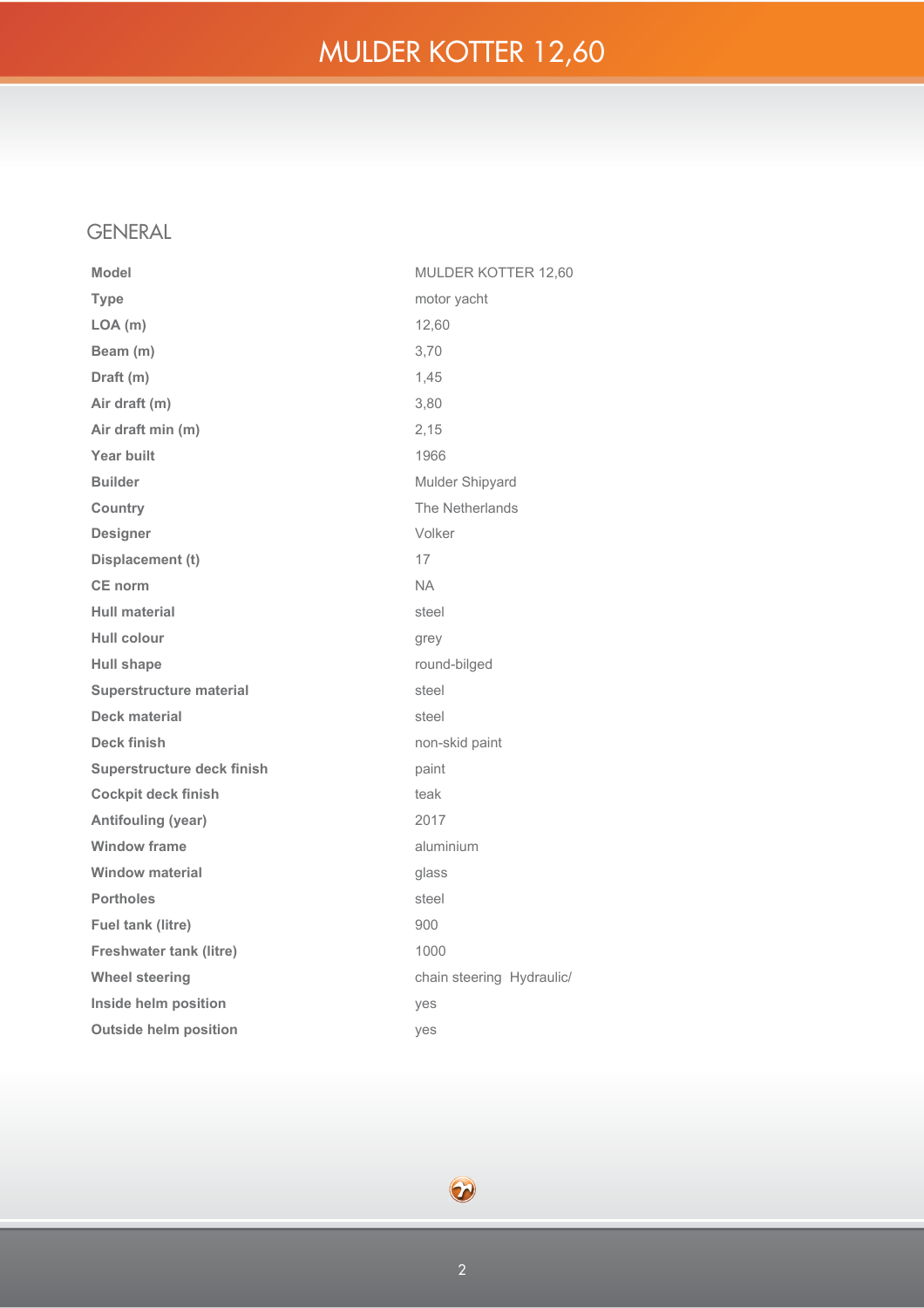### **GENERAL**

| <b>Model</b>                   | MULDER KOTTER 12,60       |
|--------------------------------|---------------------------|
| <b>Type</b>                    | motor yacht               |
| LOA(m)                         | 12,60                     |
| Beam (m)                       | 3,70                      |
| Draft (m)                      | 1,45                      |
| Air draft (m)                  | 3,80                      |
| Air draft min (m)              | 2,15                      |
| <b>Year built</b>              | 1966                      |
| <b>Builder</b>                 | Mulder Shipyard           |
| Country                        | The Netherlands           |
| <b>Designer</b>                | Volker                    |
| Displacement (t)               | 17                        |
| <b>CE</b> norm                 | <b>NA</b>                 |
| Hull material                  | steel                     |
| Hull colour                    | grey                      |
| <b>Hull shape</b>              | round-bilged              |
| <b>Superstructure material</b> | steel                     |
| <b>Deck material</b>           | steel                     |
| Deck finish                    | non-skid paint            |
| Superstructure deck finish     | paint                     |
| <b>Cockpit deck finish</b>     | teak                      |
| Antifouling (year)             | 2017                      |
| <b>Window frame</b>            | aluminium                 |
| <b>Window material</b>         | glass                     |
| <b>Portholes</b>               | steel                     |
| Fuel tank (litre)              | 900                       |
| <b>Freshwater tank (litre)</b> | 1000                      |
| <b>Wheel steering</b>          | chain steering Hydraulic/ |
| Inside helm position           | yes                       |
| <b>Outside helm position</b>   | yes                       |

 $\bigodot$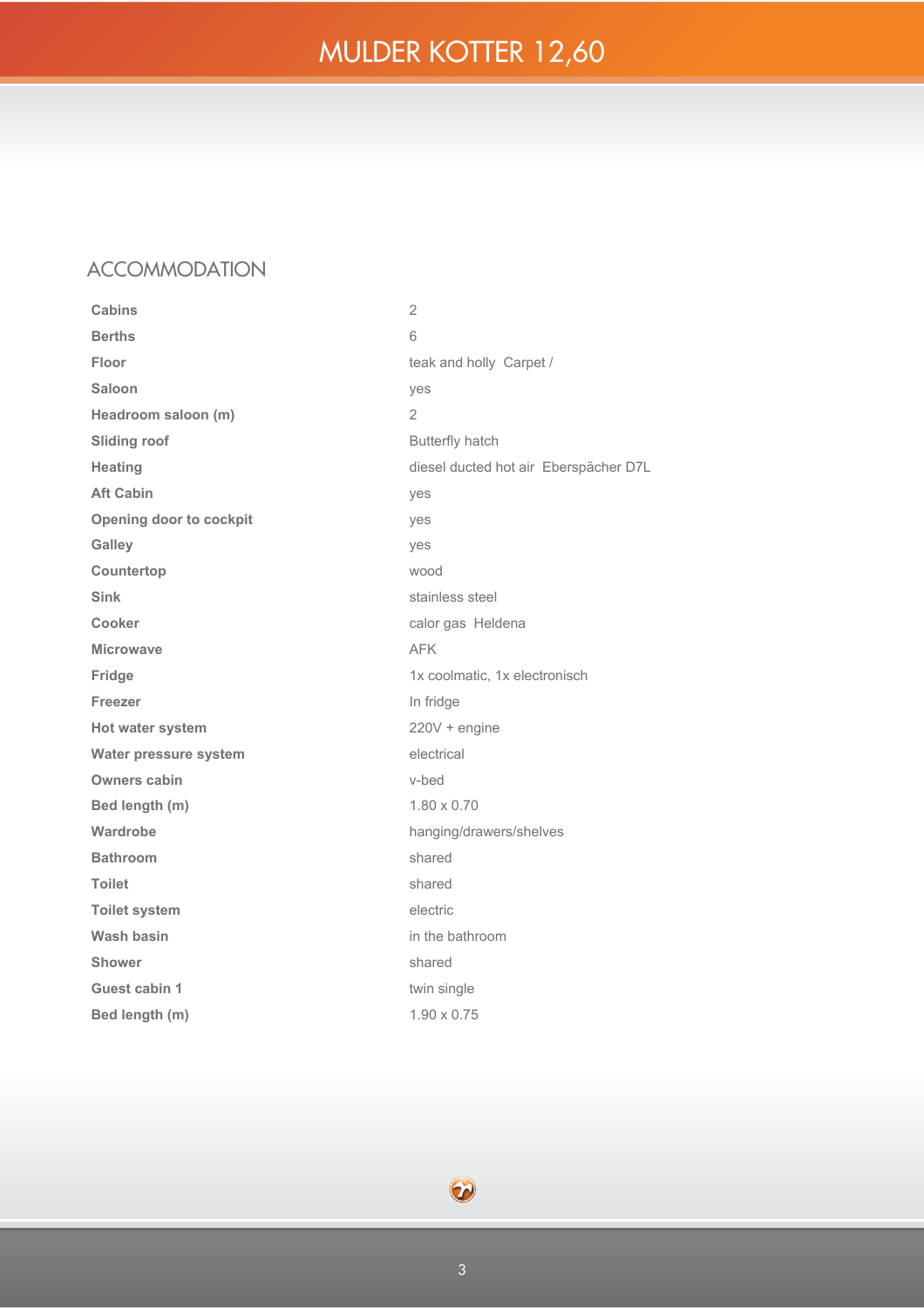## **ACCOMMODATION**

| Cabins                         | 2                                     |
|--------------------------------|---------------------------------------|
| <b>Berths</b>                  | 6                                     |
| Floor                          | teak and holly Carpet /               |
| Saloon                         | yes                                   |
| Headroom saloon (m)            | 2                                     |
| <b>Sliding roof</b>            | <b>Butterfly hatch</b>                |
| <b>Heating</b>                 | diesel ducted hot air Eberspächer D7L |
| <b>Aft Cabin</b>               | yes                                   |
| <b>Opening door to cockpit</b> | yes                                   |
| Galley                         | yes                                   |
| Countertop                     | wood                                  |
| <b>Sink</b>                    | stainless steel                       |
| Cooker                         | calor gas Heldena                     |
| <b>Microwave</b>               | <b>AFK</b>                            |
| <b>Fridge</b>                  | 1x coolmatic, 1x electronisch         |
| Freezer                        | In fridge                             |
| Hot water system               | $220V + engine$                       |
| Water pressure system          | electrical                            |
| Owners cabin                   | v-bed                                 |
| Bed length (m)                 | $1.80 \times 0.70$                    |
| Wardrobe                       | hanging/drawers/shelves               |
| <b>Bathroom</b>                | shared                                |
| <b>Toilet</b>                  | shared                                |
| <b>Toilet system</b>           | electric                              |
| Wash basin                     | in the bathroom                       |
| <b>Shower</b>                  | shared                                |
| Guest cabin 1                  | twin single                           |
| Bed length (m)                 | $1.90 \times 0.75$                    |

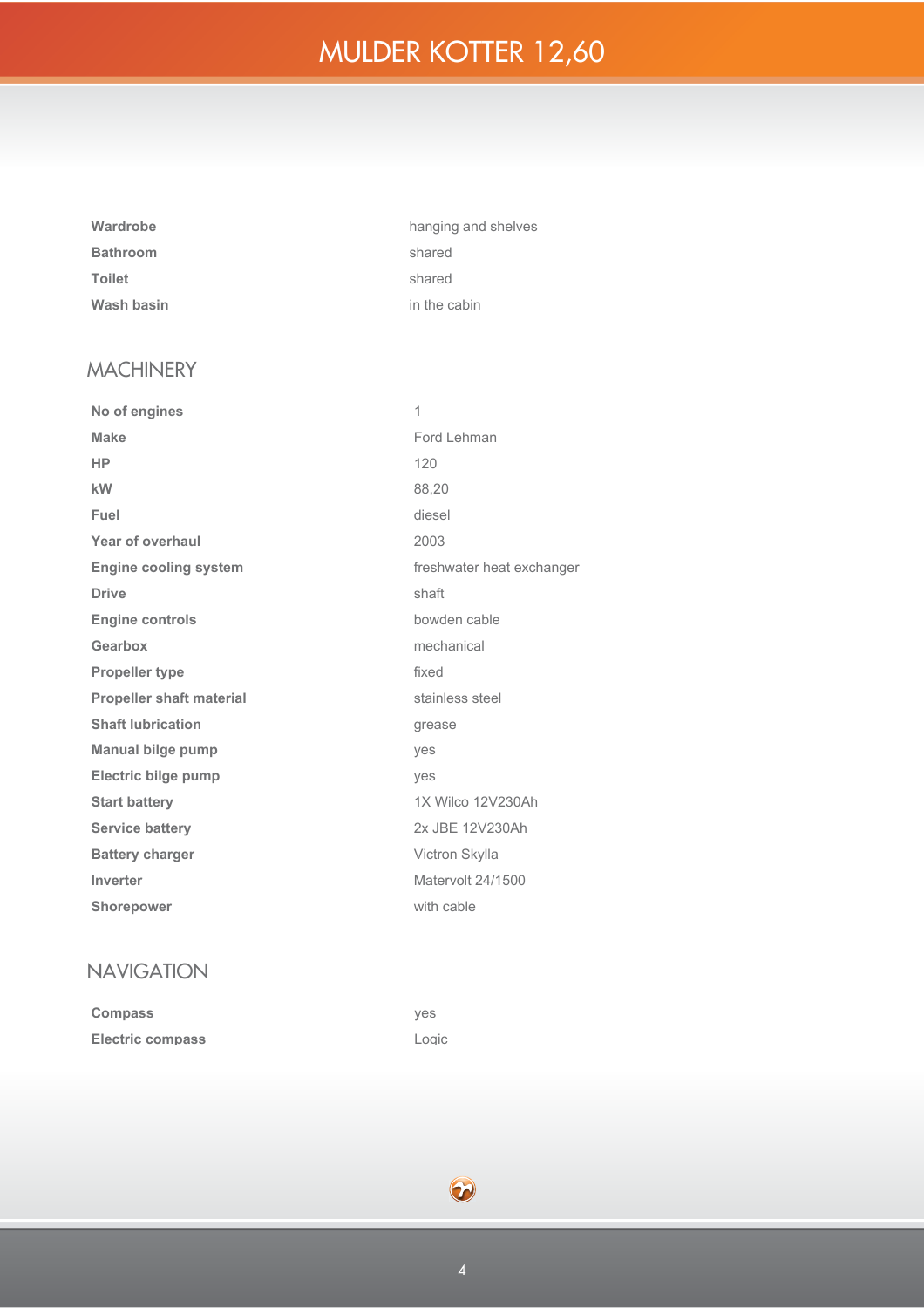| <b>Wardrobe</b> | hanging and shelves |
|-----------------|---------------------|
| <b>Bathroom</b> | shared              |
| <b>Toilet</b>   | shared              |
| Wash basin      | in the cabin        |

### **MACHINERY**

| No of engines                   | 1                         |
|---------------------------------|---------------------------|
| <b>Make</b>                     | Ford Lehman               |
| <b>HP</b>                       | 120                       |
| kW                              | 88,20                     |
| Fuel                            | diesel                    |
| Year of overhaul                | 2003                      |
| <b>Engine cooling system</b>    | freshwater heat exchanger |
| <b>Drive</b>                    | shaft                     |
| <b>Engine controls</b>          | bowden cable              |
| Gearbox                         | mechanical                |
| <b>Propeller type</b>           | fixed                     |
| <b>Propeller shaft material</b> | stainless steel           |
| <b>Shaft lubrication</b>        | grease                    |
| Manual bilge pump               | yes                       |
| <b>Electric bilge pump</b>      | ves                       |
| <b>Start battery</b>            | 1X Wilco 12V230Ah         |
| <b>Service battery</b>          | 2x JBE 12V230Ah           |
| <b>Battery charger</b>          | Victron Skylla            |
| Inverter                        | Matervolt 24/1500         |
| <b>Shorepower</b>               | with cable                |

### **NAVIGATION**

| <b>Compass</b>          | yes   |
|-------------------------|-------|
| <b>Electric compass</b> | Logic |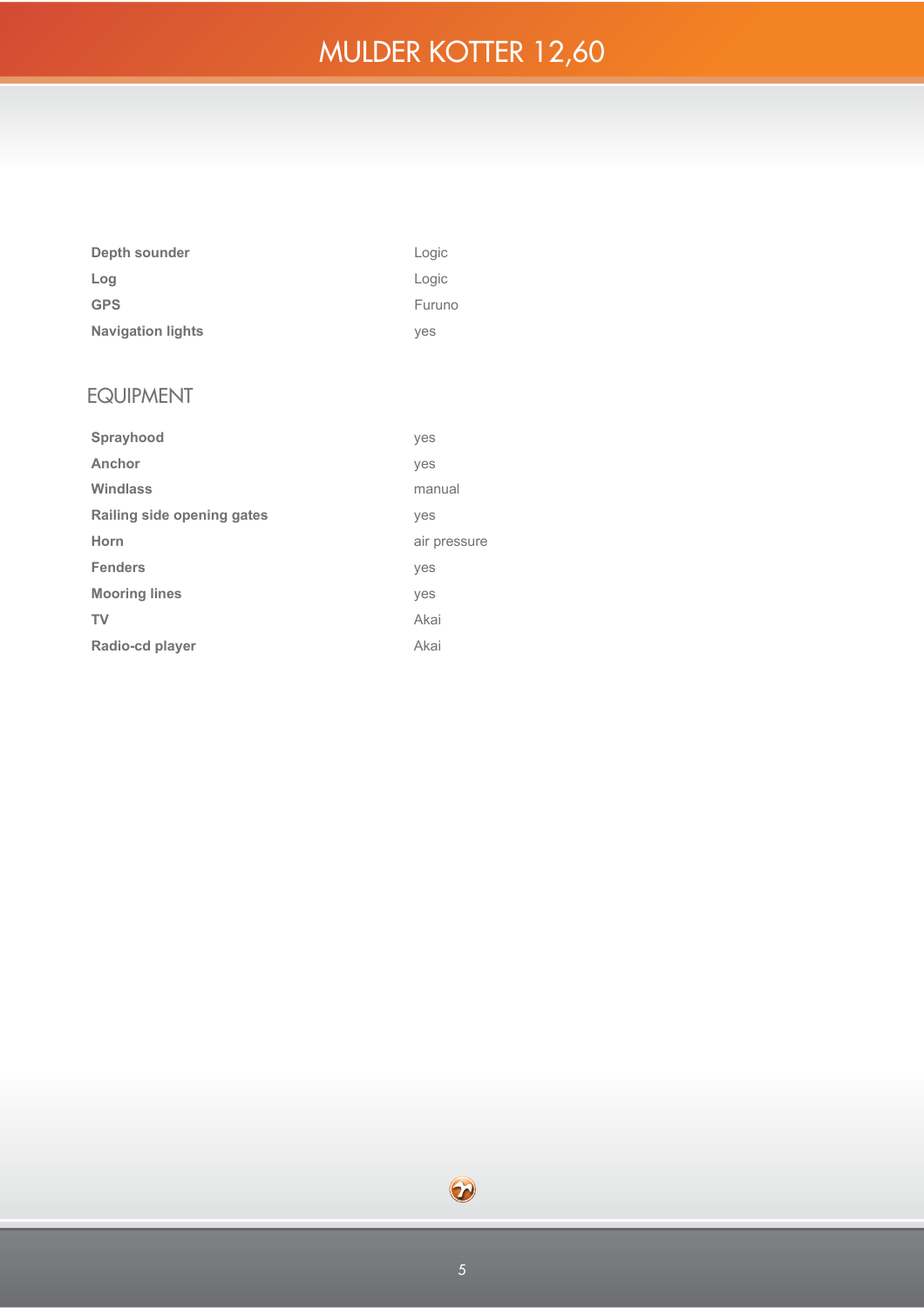| Depth sounder            | Logic  |
|--------------------------|--------|
| Log                      | Logic  |
| <b>GPS</b>               | Furuno |
| <b>Navigation lights</b> | ves    |

## **EQUIPMENT**

| Sprayhood                  | yes          |
|----------------------------|--------------|
| Anchor                     | yes          |
| <b>Windlass</b>            | manual       |
| Railing side opening gates | yes          |
| Horn                       | air pressure |
| <b>Fenders</b>             | yes          |
| <b>Mooring lines</b>       | yes          |
| <b>TV</b>                  | Akai         |
| Radio-cd player            | Akai         |

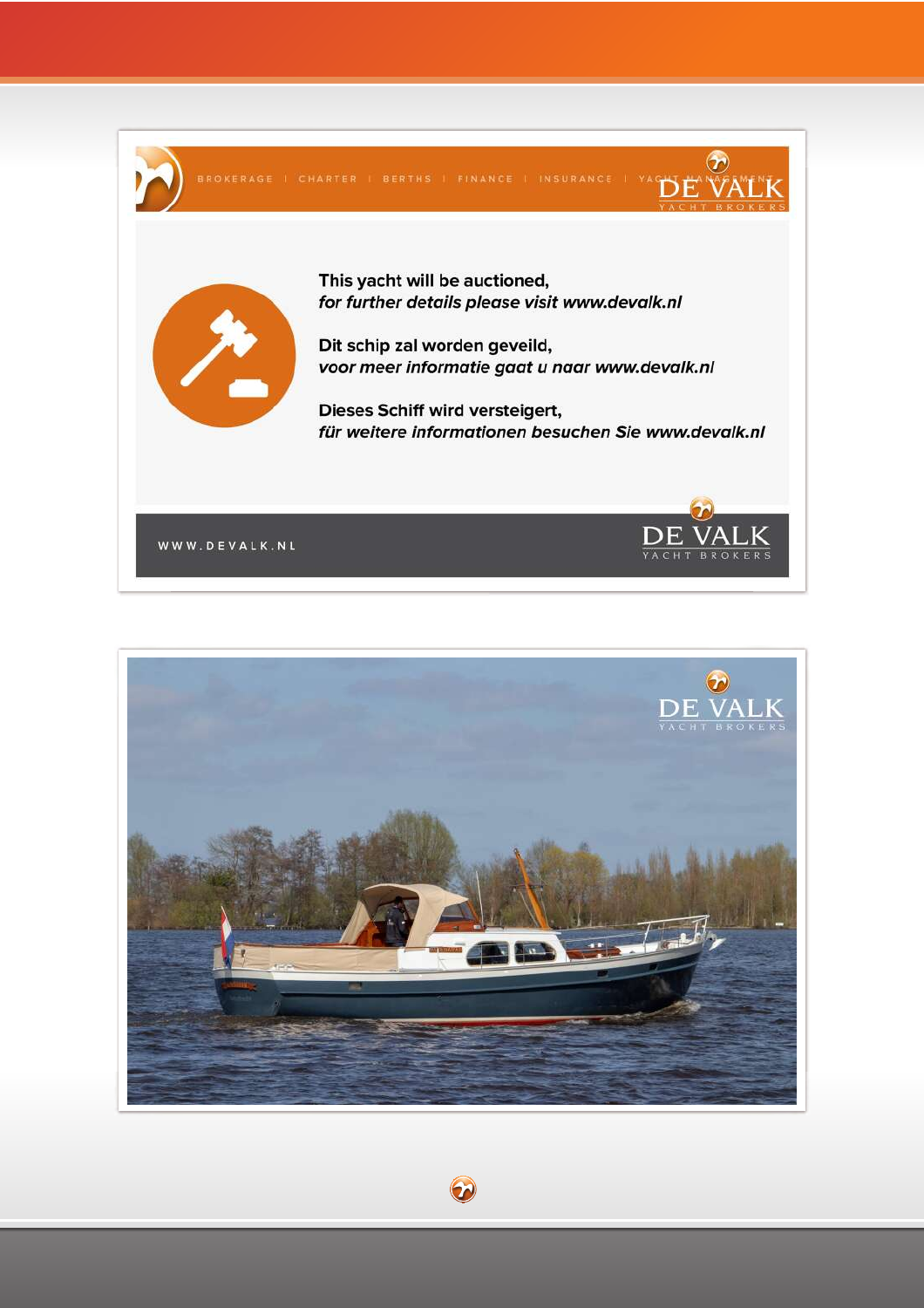## 08/'(5.277(5



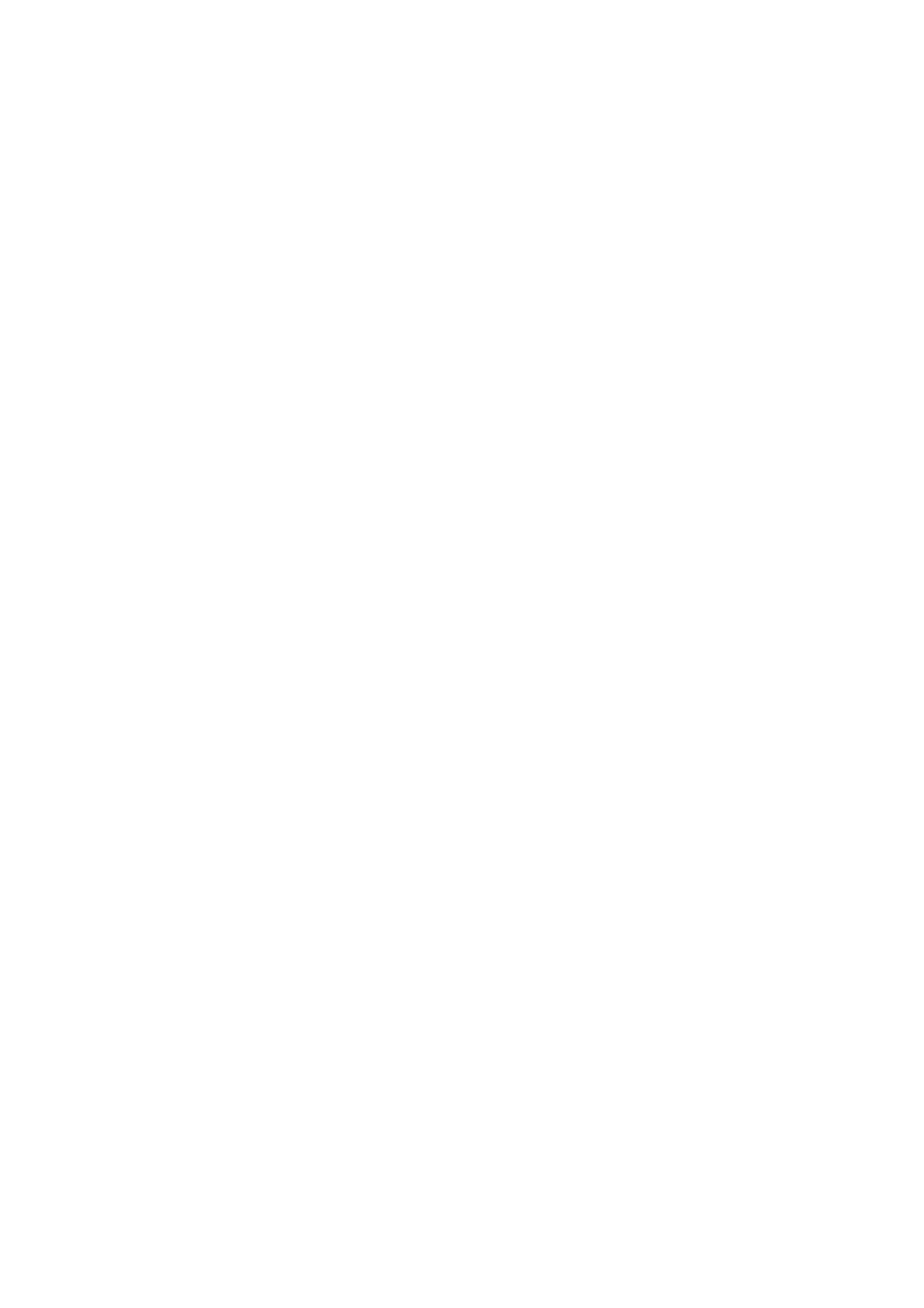| ---- |  |
|------|--|
|      |  |
|      |  |
|      |  |
|      |  |
|      |  |
|      |  |
|      |  |
|      |  |
|      |  |
|      |  |
|      |  |
|      |  |
|      |  |
|      |  |
|      |  |
|      |  |
|      |  |
|      |  |
|      |  |
|      |  |
|      |  |
|      |  |
|      |  |
|      |  |
|      |  |
|      |  |
|      |  |
|      |  |
|      |  |
|      |  |
|      |  |
|      |  |
|      |  |
|      |  |
|      |  |
|      |  |
|      |  |
|      |  |
|      |  |
|      |  |
|      |  |
|      |  |
|      |  |
|      |  |
|      |  |
|      |  |
|      |  |
|      |  |
|      |  |
|      |  |
|      |  |
|      |  |
|      |  |
|      |  |
|      |  |
|      |  |
|      |  |
|      |  |

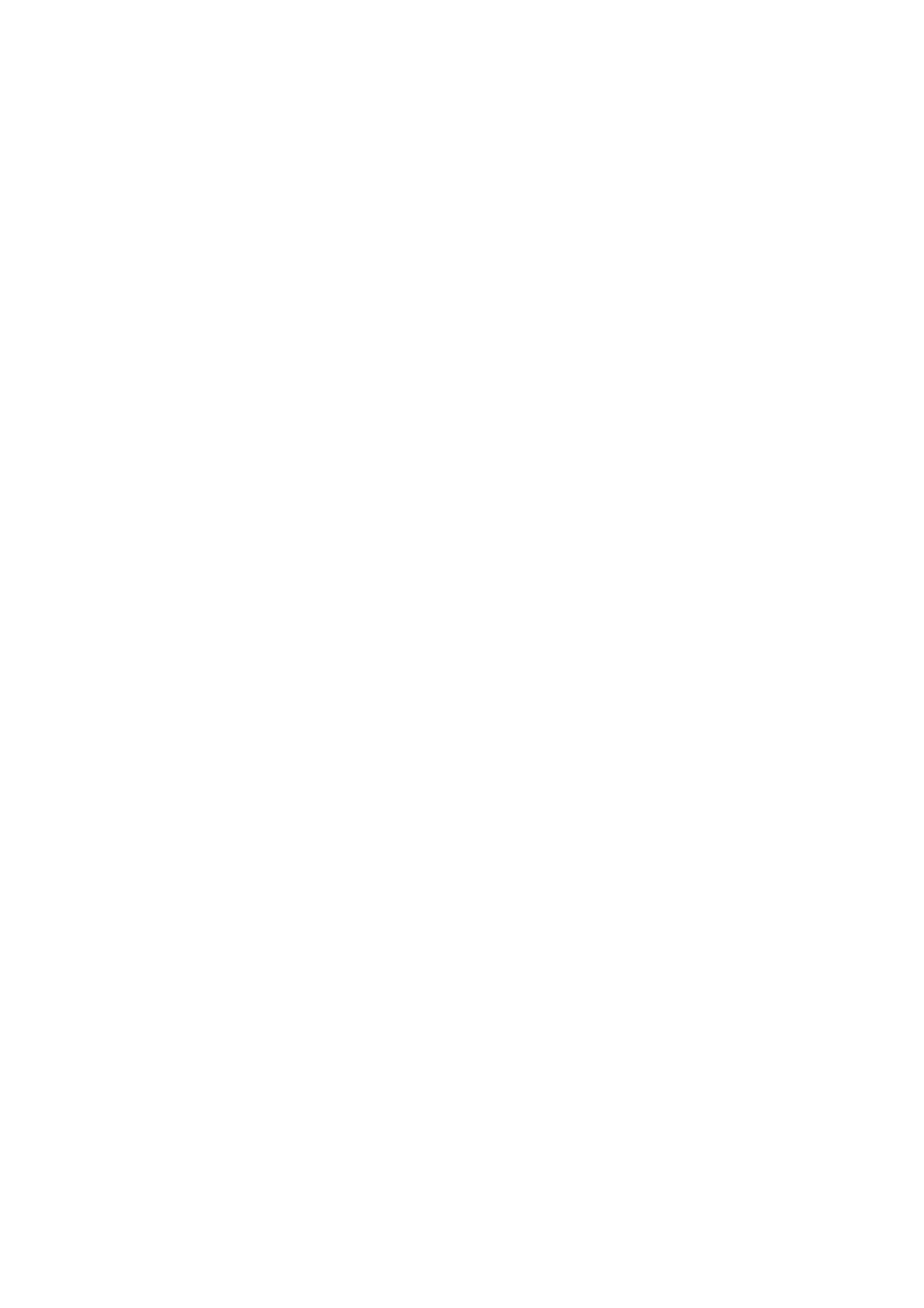| ---- |  |
|------|--|
|      |  |
|      |  |
|      |  |
|      |  |
|      |  |
|      |  |
|      |  |
|      |  |
|      |  |
|      |  |
|      |  |
|      |  |
|      |  |
|      |  |
|      |  |
|      |  |
|      |  |
|      |  |
|      |  |
|      |  |
|      |  |
|      |  |
|      |  |
|      |  |
|      |  |
|      |  |
|      |  |
|      |  |
|      |  |
|      |  |
|      |  |
|      |  |
|      |  |
|      |  |
|      |  |
|      |  |
|      |  |
|      |  |
|      |  |
|      |  |
|      |  |
|      |  |
|      |  |
|      |  |
|      |  |
|      |  |
|      |  |
|      |  |
|      |  |
|      |  |
|      |  |
|      |  |
|      |  |
|      |  |
|      |  |
|      |  |
|      |  |
|      |  |

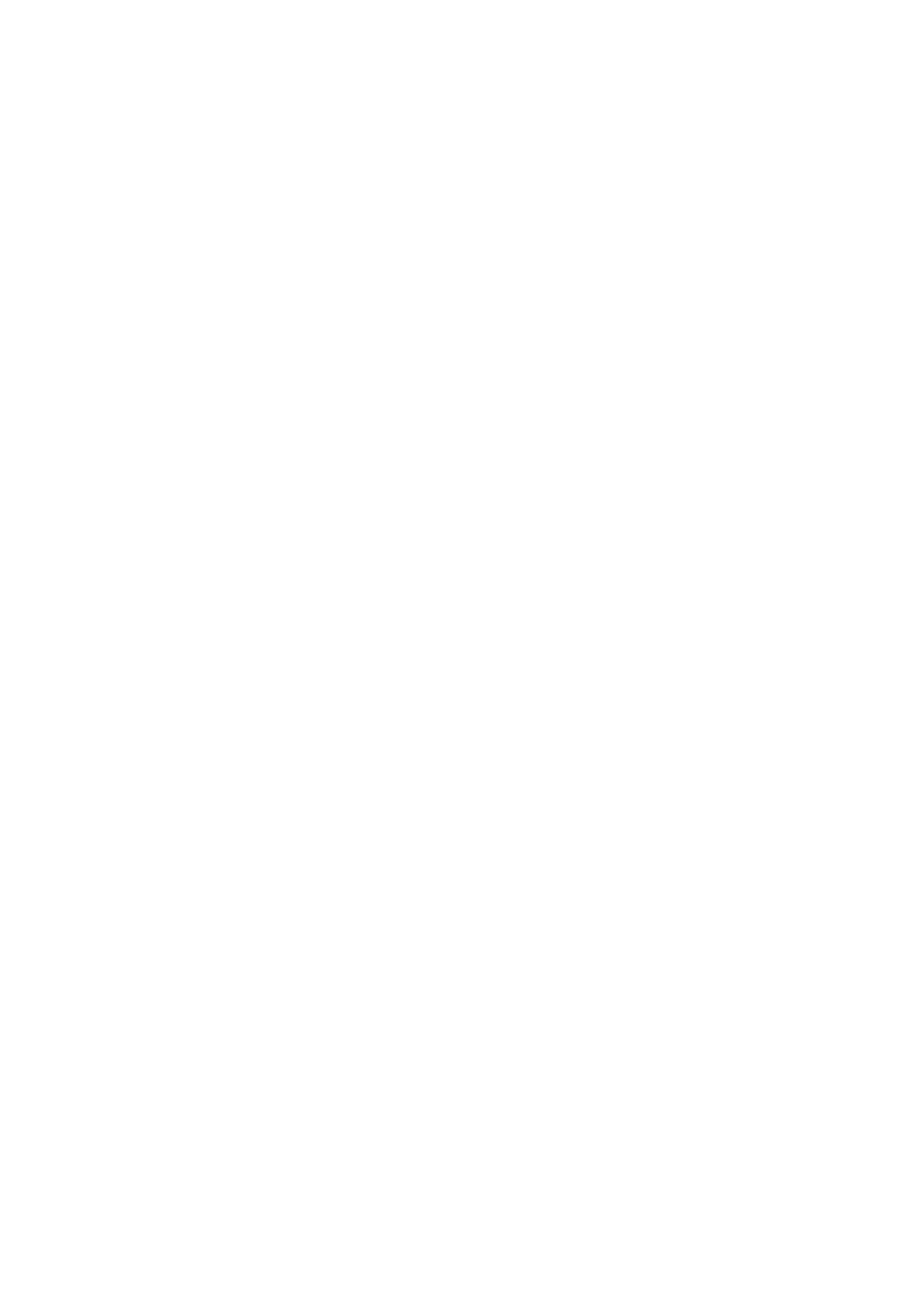| ---- |  |
|------|--|
|      |  |
|      |  |
|      |  |
|      |  |
|      |  |
|      |  |
|      |  |
|      |  |
|      |  |
|      |  |
|      |  |
|      |  |
|      |  |
|      |  |
|      |  |
|      |  |
|      |  |
|      |  |
|      |  |
|      |  |
|      |  |
|      |  |
|      |  |
|      |  |
|      |  |
|      |  |
|      |  |
|      |  |
|      |  |
|      |  |
|      |  |
|      |  |
|      |  |
|      |  |
|      |  |
|      |  |
|      |  |
|      |  |
|      |  |
|      |  |
|      |  |
|      |  |
|      |  |
|      |  |
|      |  |
|      |  |
|      |  |
|      |  |
|      |  |
|      |  |
|      |  |
|      |  |
|      |  |
|      |  |
|      |  |
|      |  |
|      |  |
|      |  |

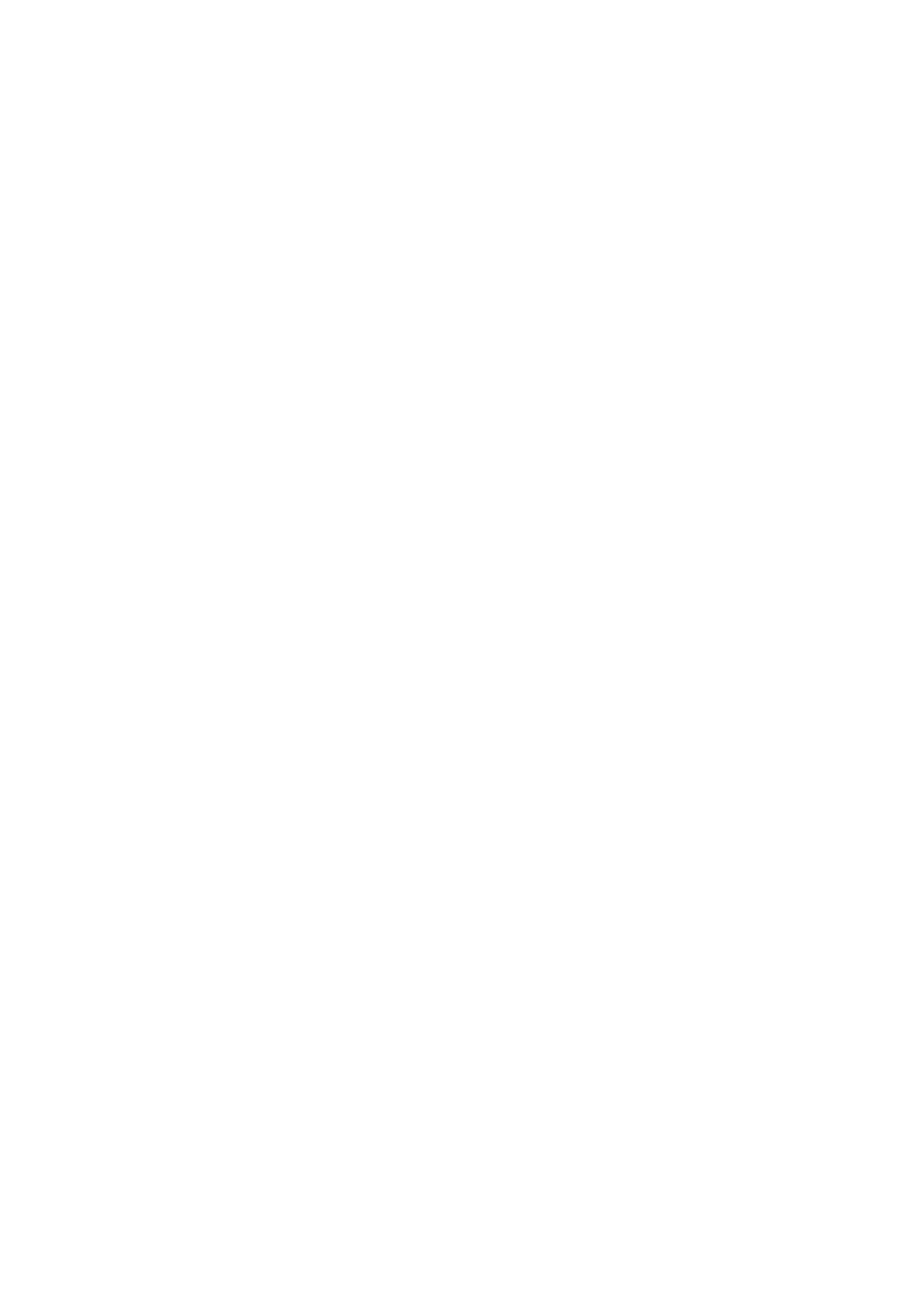| ---- |  |
|------|--|
|      |  |
|      |  |
|      |  |
|      |  |
|      |  |
|      |  |
|      |  |
|      |  |
|      |  |
|      |  |
|      |  |
|      |  |
|      |  |
|      |  |
|      |  |
|      |  |
|      |  |
|      |  |
|      |  |
|      |  |
|      |  |
|      |  |
|      |  |
|      |  |
|      |  |
|      |  |
|      |  |
|      |  |
|      |  |
|      |  |
|      |  |
|      |  |
|      |  |
|      |  |
|      |  |
|      |  |
|      |  |
|      |  |
|      |  |
|      |  |
|      |  |
|      |  |
|      |  |
|      |  |
|      |  |
|      |  |
|      |  |
|      |  |
|      |  |
|      |  |
|      |  |
|      |  |
|      |  |
|      |  |
|      |  |
|      |  |
|      |  |
|      |  |

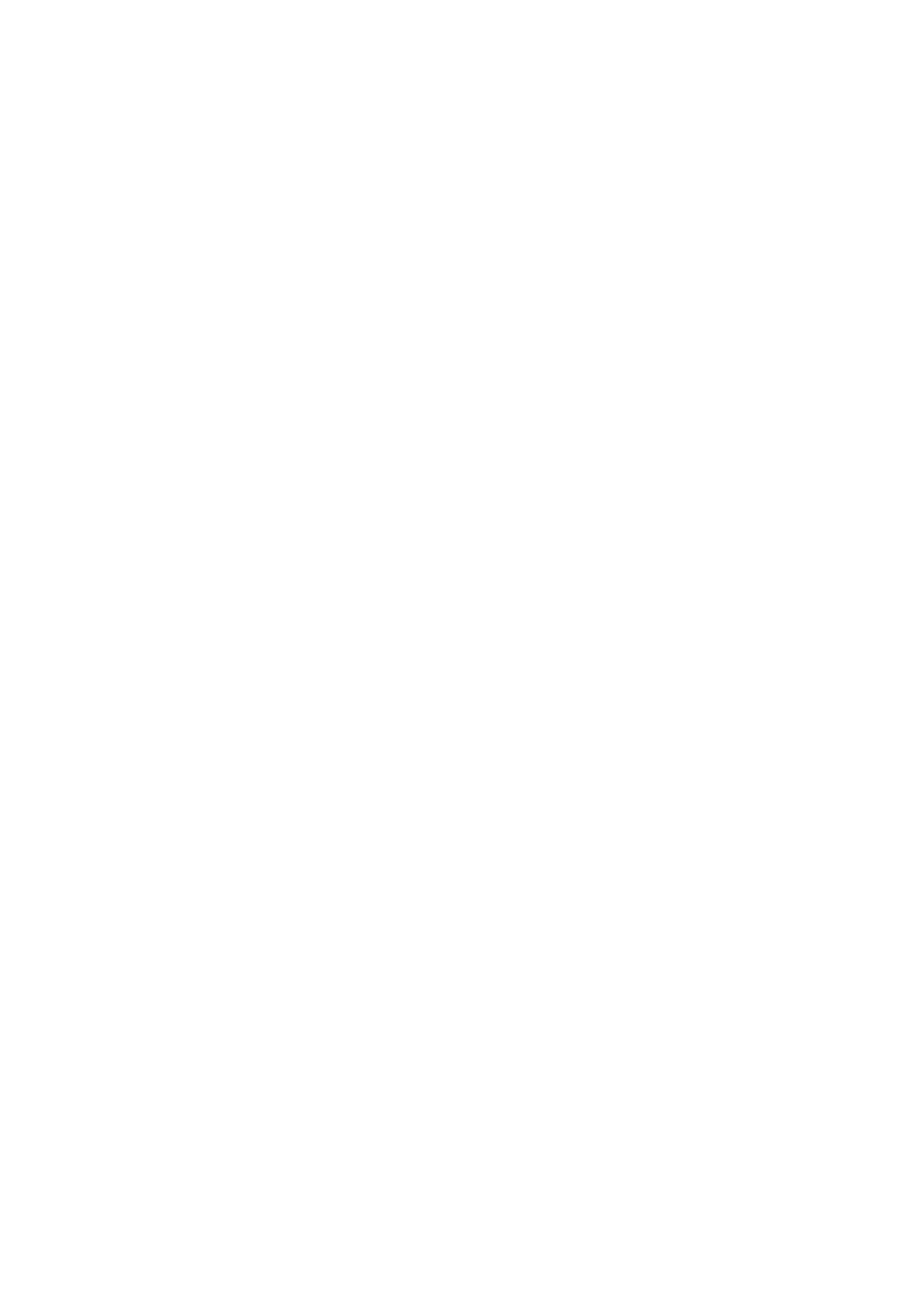| ---- |  |
|------|--|
|      |  |
|      |  |
|      |  |
|      |  |
|      |  |
|      |  |
|      |  |
|      |  |
|      |  |
|      |  |
|      |  |
|      |  |
|      |  |
|      |  |
|      |  |
|      |  |
|      |  |
|      |  |
|      |  |
|      |  |
|      |  |
|      |  |
|      |  |
|      |  |
|      |  |
|      |  |
|      |  |
|      |  |
|      |  |
|      |  |
|      |  |
|      |  |
|      |  |
|      |  |
|      |  |
|      |  |
|      |  |
|      |  |
|      |  |
|      |  |
|      |  |
|      |  |
|      |  |
|      |  |
|      |  |
|      |  |
|      |  |
|      |  |
|      |  |
|      |  |
|      |  |
|      |  |
|      |  |
|      |  |
|      |  |
|      |  |
|      |  |
|      |  |

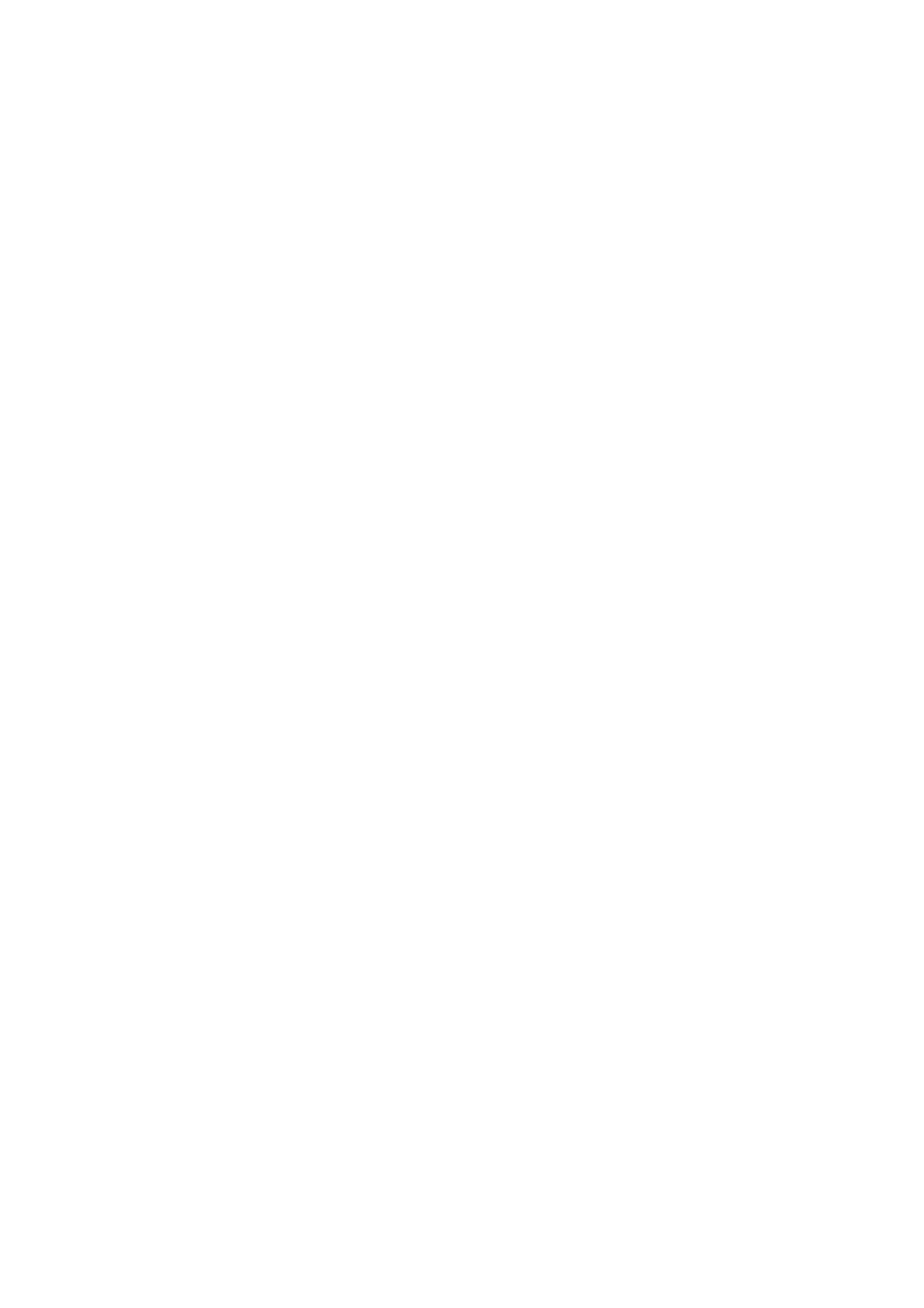| ---- |  |
|------|--|
|      |  |
|      |  |
|      |  |
|      |  |
|      |  |
|      |  |
|      |  |
|      |  |
|      |  |
|      |  |
|      |  |
|      |  |
|      |  |
|      |  |
|      |  |
|      |  |
|      |  |
|      |  |
|      |  |
|      |  |
|      |  |
|      |  |
|      |  |
|      |  |
|      |  |
|      |  |
|      |  |
|      |  |
|      |  |
|      |  |
|      |  |
|      |  |
|      |  |
|      |  |
|      |  |
|      |  |
|      |  |
|      |  |
|      |  |
|      |  |
|      |  |
|      |  |
|      |  |
|      |  |
|      |  |
|      |  |
|      |  |
|      |  |
|      |  |
|      |  |
|      |  |
|      |  |
|      |  |
|      |  |
|      |  |
|      |  |
|      |  |
|      |  |

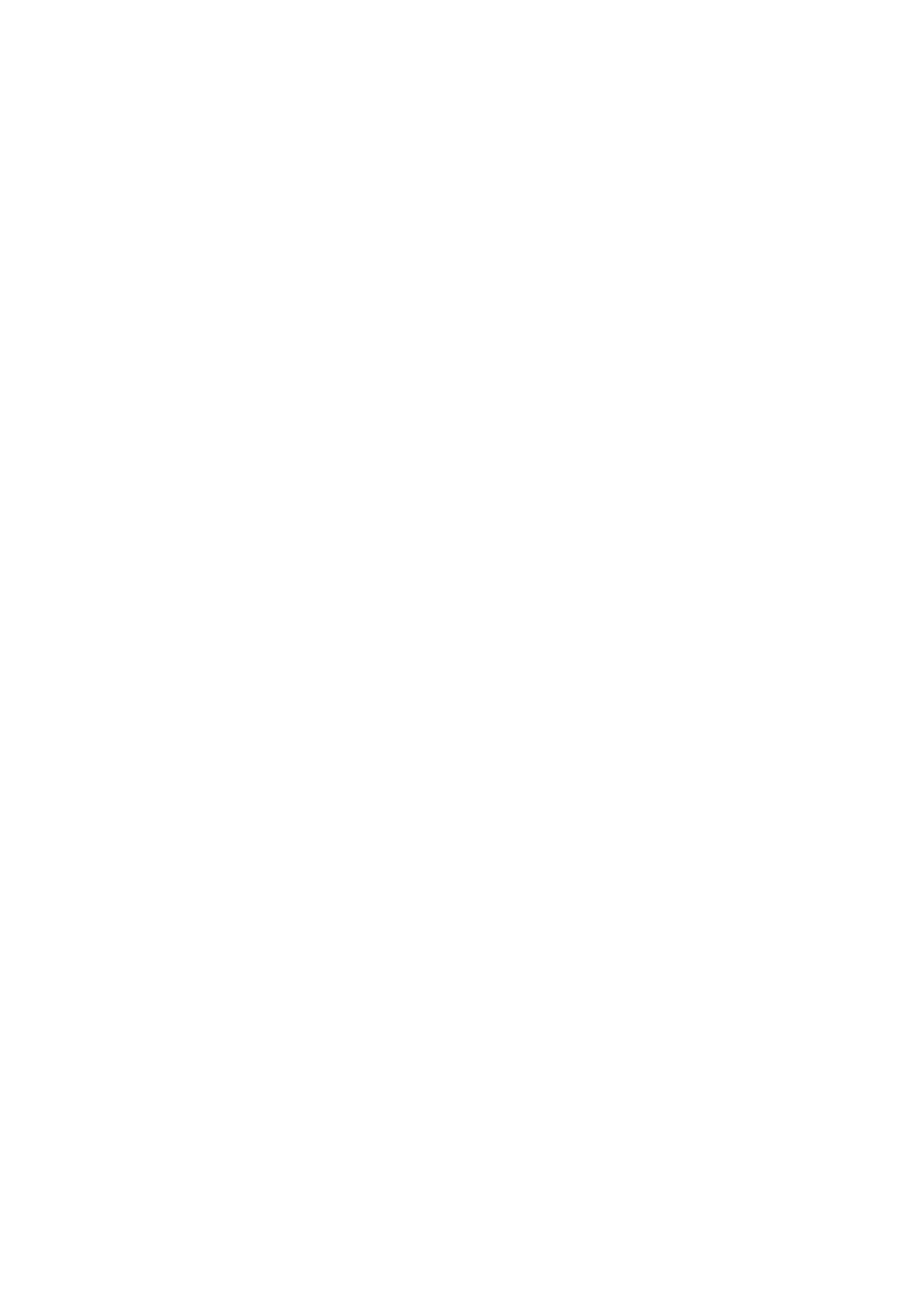| ---- |  |
|------|--|
|      |  |
|      |  |
|      |  |
|      |  |
|      |  |
|      |  |
|      |  |
|      |  |
|      |  |
|      |  |
|      |  |
|      |  |
|      |  |
|      |  |
|      |  |
|      |  |
|      |  |
|      |  |
|      |  |
|      |  |
|      |  |
|      |  |
|      |  |
|      |  |
|      |  |
|      |  |
|      |  |
|      |  |
|      |  |
|      |  |
|      |  |
|      |  |
|      |  |
|      |  |
|      |  |
|      |  |
|      |  |
|      |  |
|      |  |
|      |  |
|      |  |
|      |  |
|      |  |
|      |  |
|      |  |
|      |  |
|      |  |
|      |  |
|      |  |
|      |  |
|      |  |
|      |  |
|      |  |
|      |  |
|      |  |
|      |  |
|      |  |
|      |  |

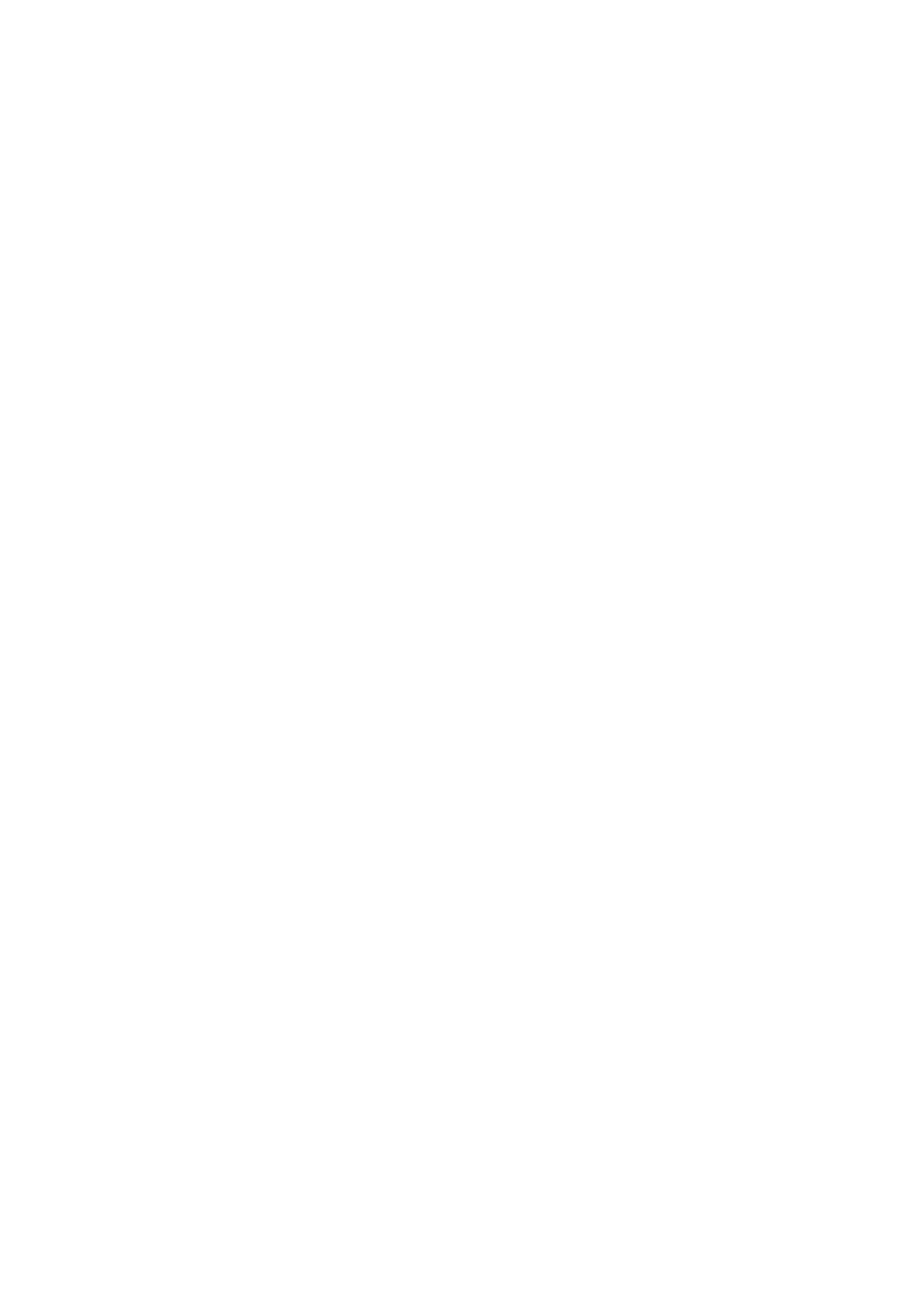| ---- |  |
|------|--|
|      |  |
|      |  |
|      |  |
|      |  |
|      |  |
|      |  |
|      |  |
|      |  |
|      |  |
|      |  |
|      |  |
|      |  |
|      |  |
|      |  |
|      |  |
|      |  |
|      |  |
|      |  |
|      |  |
|      |  |
|      |  |
|      |  |
|      |  |
|      |  |
|      |  |
|      |  |
|      |  |
|      |  |
|      |  |
|      |  |
|      |  |
|      |  |
|      |  |
|      |  |
|      |  |
|      |  |
|      |  |
|      |  |
|      |  |
|      |  |
|      |  |
|      |  |
|      |  |
|      |  |
|      |  |
|      |  |
|      |  |
|      |  |
|      |  |
|      |  |
|      |  |
|      |  |
|      |  |
|      |  |
|      |  |
|      |  |
|      |  |
|      |  |

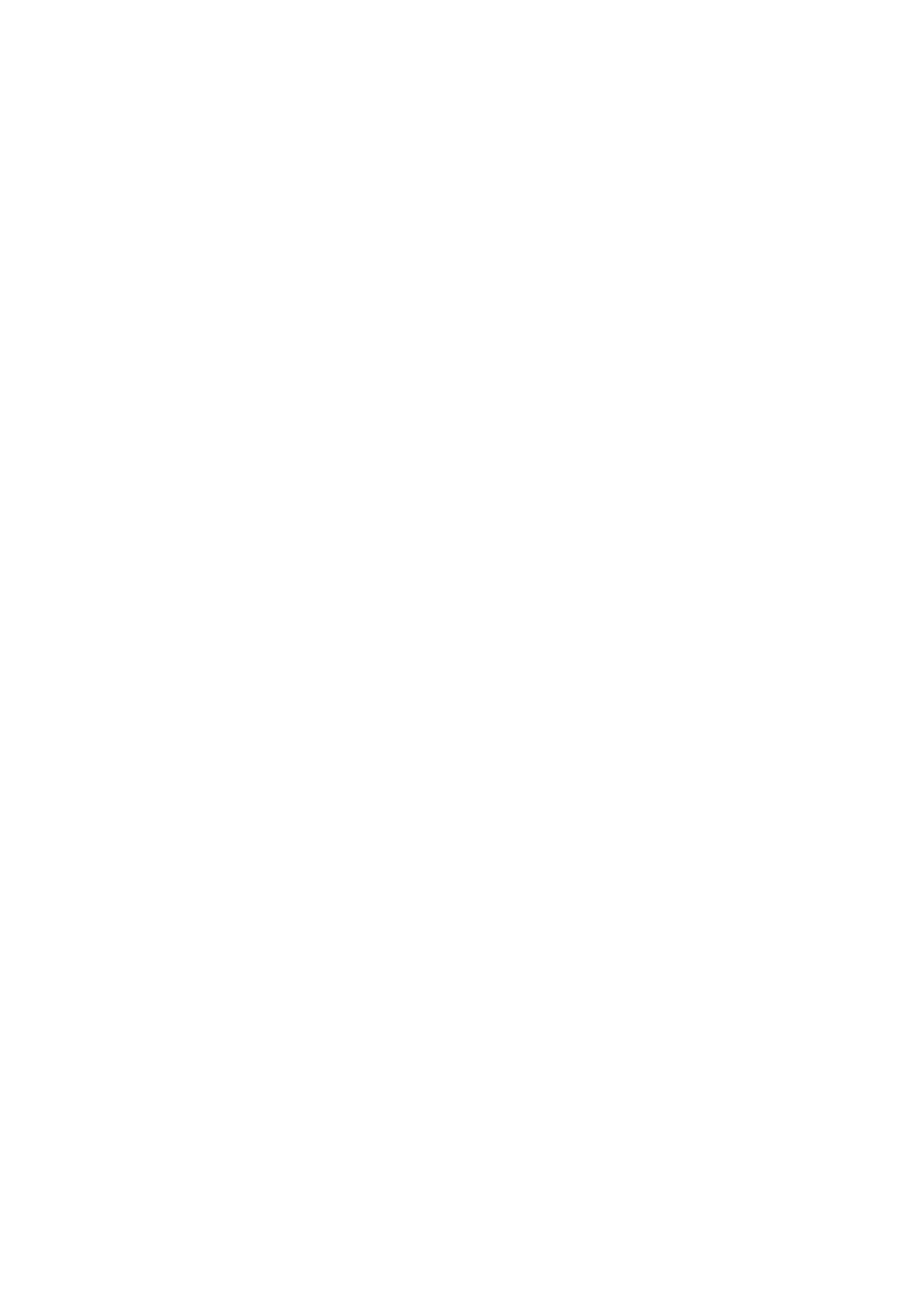| ---- |  |
|------|--|
|      |  |
|      |  |
|      |  |
|      |  |
|      |  |
|      |  |
|      |  |
|      |  |
|      |  |
|      |  |
|      |  |
|      |  |
|      |  |
|      |  |
|      |  |
|      |  |
|      |  |
|      |  |
|      |  |
|      |  |
|      |  |
|      |  |
|      |  |
|      |  |
|      |  |
|      |  |
|      |  |
|      |  |
|      |  |
|      |  |
|      |  |
|      |  |
|      |  |
|      |  |
|      |  |
|      |  |
|      |  |
|      |  |
|      |  |
|      |  |
|      |  |
|      |  |
|      |  |
|      |  |
|      |  |
|      |  |
|      |  |
|      |  |
|      |  |
|      |  |
|      |  |
|      |  |
|      |  |
|      |  |
|      |  |
|      |  |
|      |  |
|      |  |

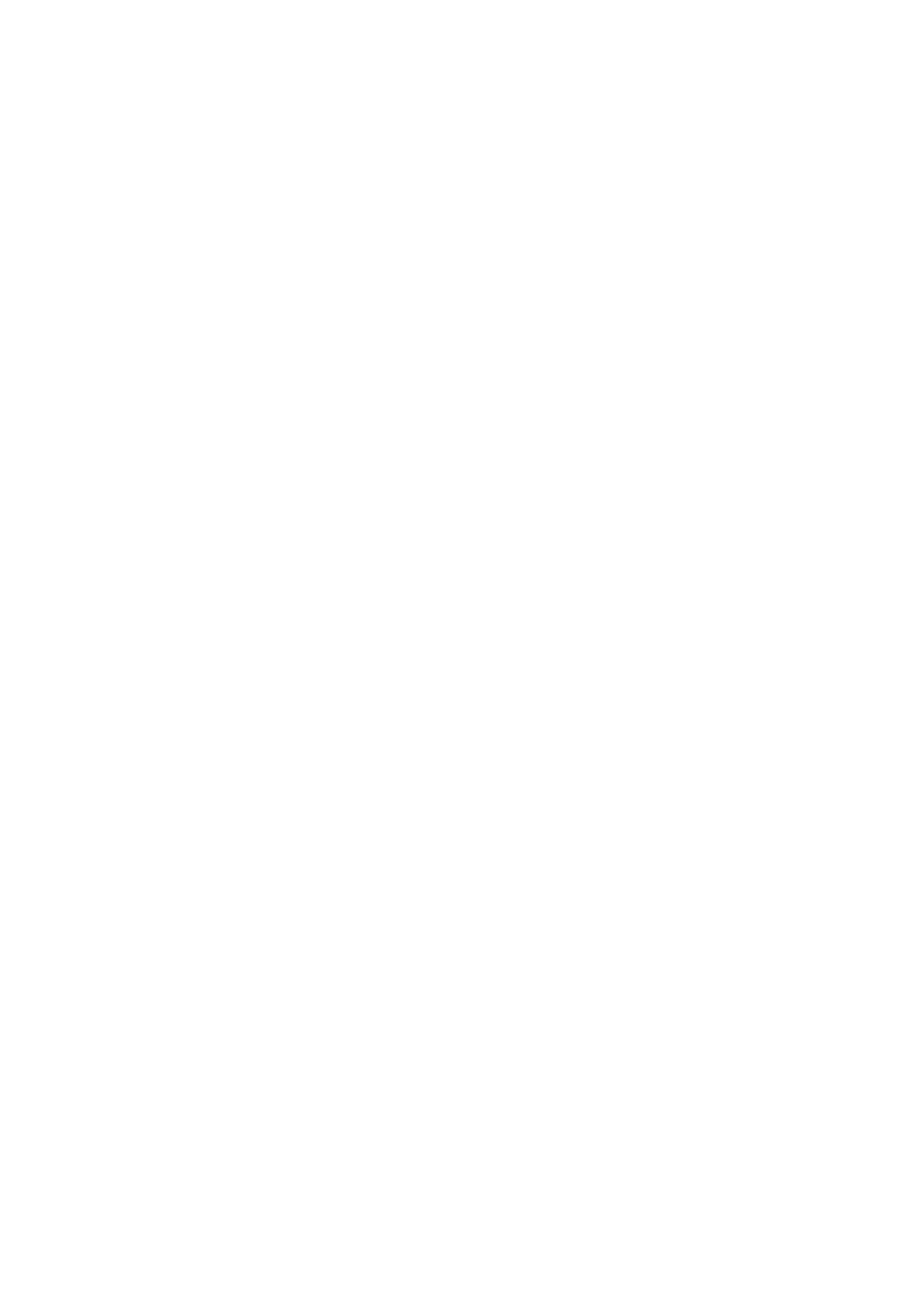| ---- |  |
|------|--|
|      |  |
|      |  |
|      |  |
|      |  |
|      |  |
|      |  |
|      |  |
|      |  |
|      |  |
|      |  |
|      |  |
|      |  |
|      |  |
|      |  |
|      |  |
|      |  |
|      |  |
|      |  |
|      |  |
|      |  |
|      |  |
|      |  |
|      |  |
|      |  |
|      |  |
|      |  |
|      |  |
|      |  |
|      |  |
|      |  |
|      |  |
|      |  |
|      |  |
|      |  |
|      |  |
|      |  |
|      |  |
|      |  |
|      |  |
|      |  |
|      |  |
|      |  |
|      |  |
|      |  |
|      |  |
|      |  |
|      |  |
|      |  |
|      |  |
|      |  |
|      |  |
|      |  |
|      |  |
|      |  |
|      |  |
|      |  |
|      |  |
|      |  |

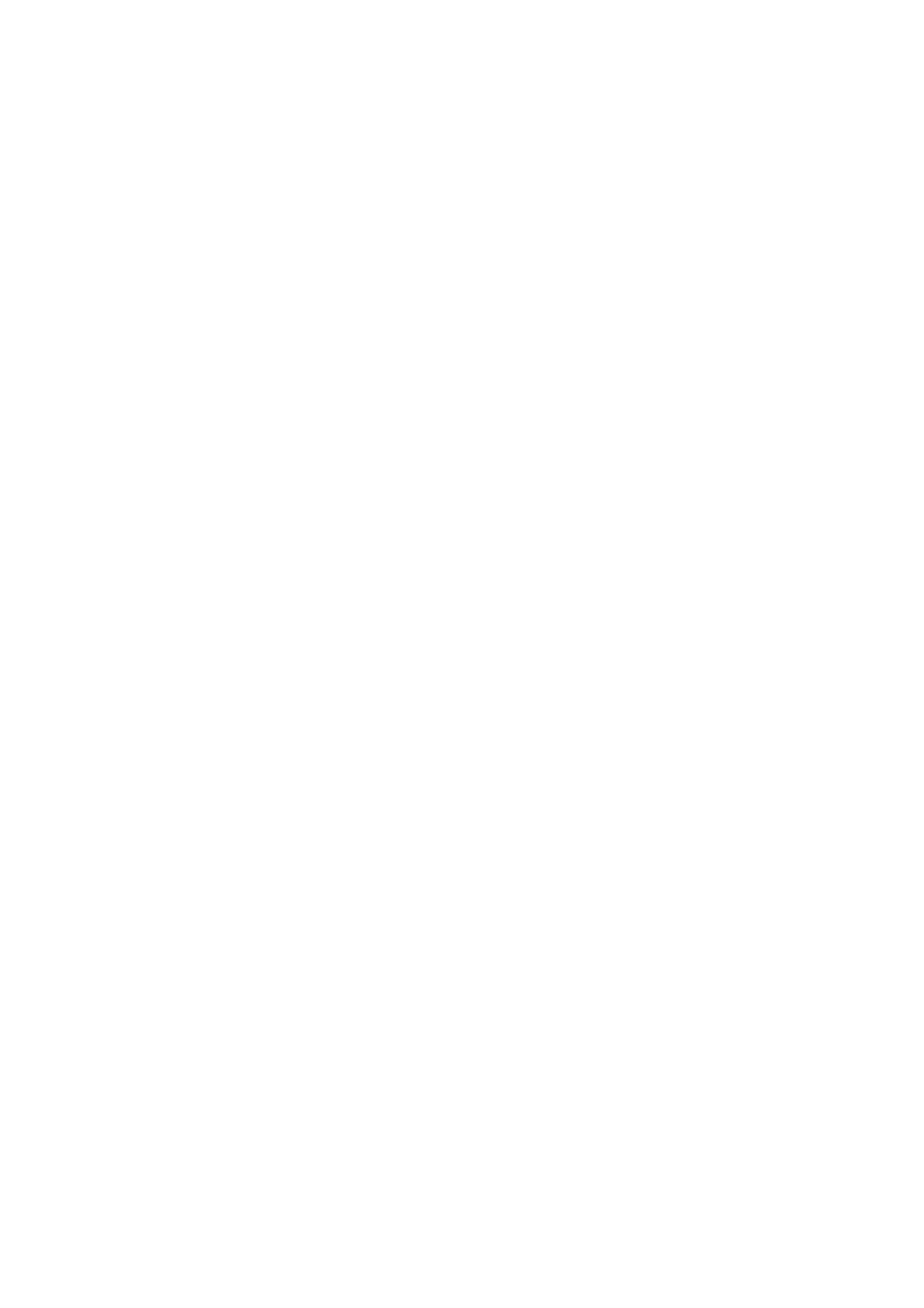| ---- |  |
|------|--|
|      |  |
|      |  |
|      |  |
|      |  |
|      |  |
|      |  |
|      |  |
|      |  |
|      |  |
|      |  |
|      |  |
|      |  |
|      |  |
|      |  |
|      |  |
|      |  |
|      |  |
|      |  |
|      |  |
|      |  |
|      |  |
|      |  |
|      |  |
|      |  |
|      |  |
|      |  |
|      |  |
|      |  |
|      |  |
|      |  |
|      |  |
|      |  |
|      |  |
|      |  |
|      |  |
|      |  |
|      |  |
|      |  |
|      |  |
|      |  |
|      |  |
|      |  |
|      |  |
|      |  |
|      |  |
|      |  |
|      |  |
|      |  |
|      |  |
|      |  |
|      |  |
|      |  |
|      |  |
|      |  |
|      |  |
|      |  |
|      |  |
|      |  |

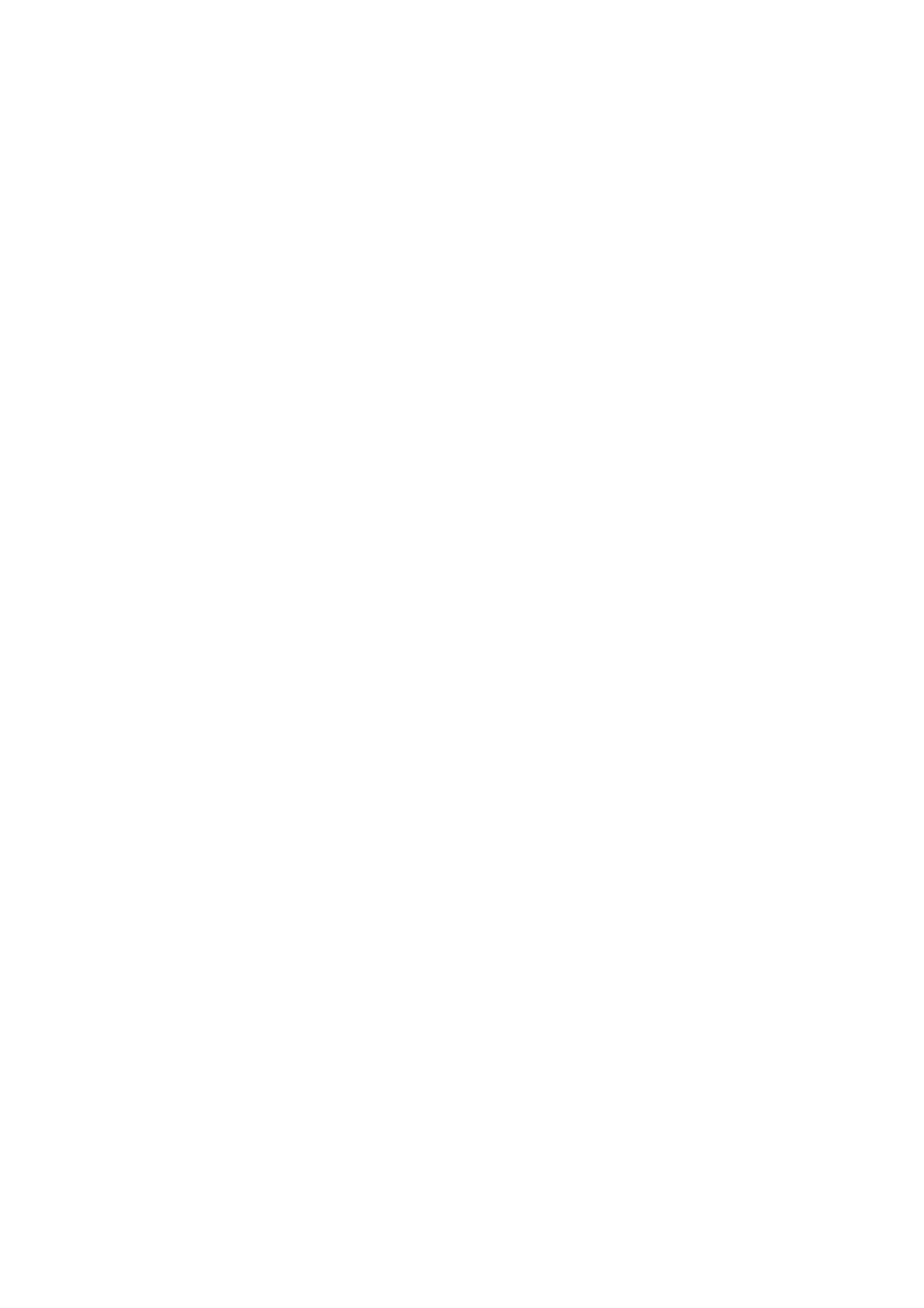| ---- |  |
|------|--|
|      |  |
|      |  |
|      |  |
|      |  |
|      |  |
|      |  |
|      |  |
|      |  |
|      |  |
|      |  |
|      |  |
|      |  |
|      |  |
|      |  |
|      |  |
|      |  |
|      |  |
|      |  |
|      |  |
|      |  |
|      |  |
|      |  |
|      |  |
|      |  |
|      |  |
|      |  |
|      |  |
|      |  |
|      |  |
|      |  |
|      |  |
|      |  |
|      |  |
|      |  |
|      |  |
|      |  |
|      |  |
|      |  |
|      |  |
|      |  |
|      |  |
|      |  |
|      |  |
|      |  |
|      |  |
|      |  |
|      |  |
|      |  |
|      |  |
|      |  |
|      |  |
|      |  |
|      |  |
|      |  |
|      |  |
|      |  |
|      |  |
|      |  |

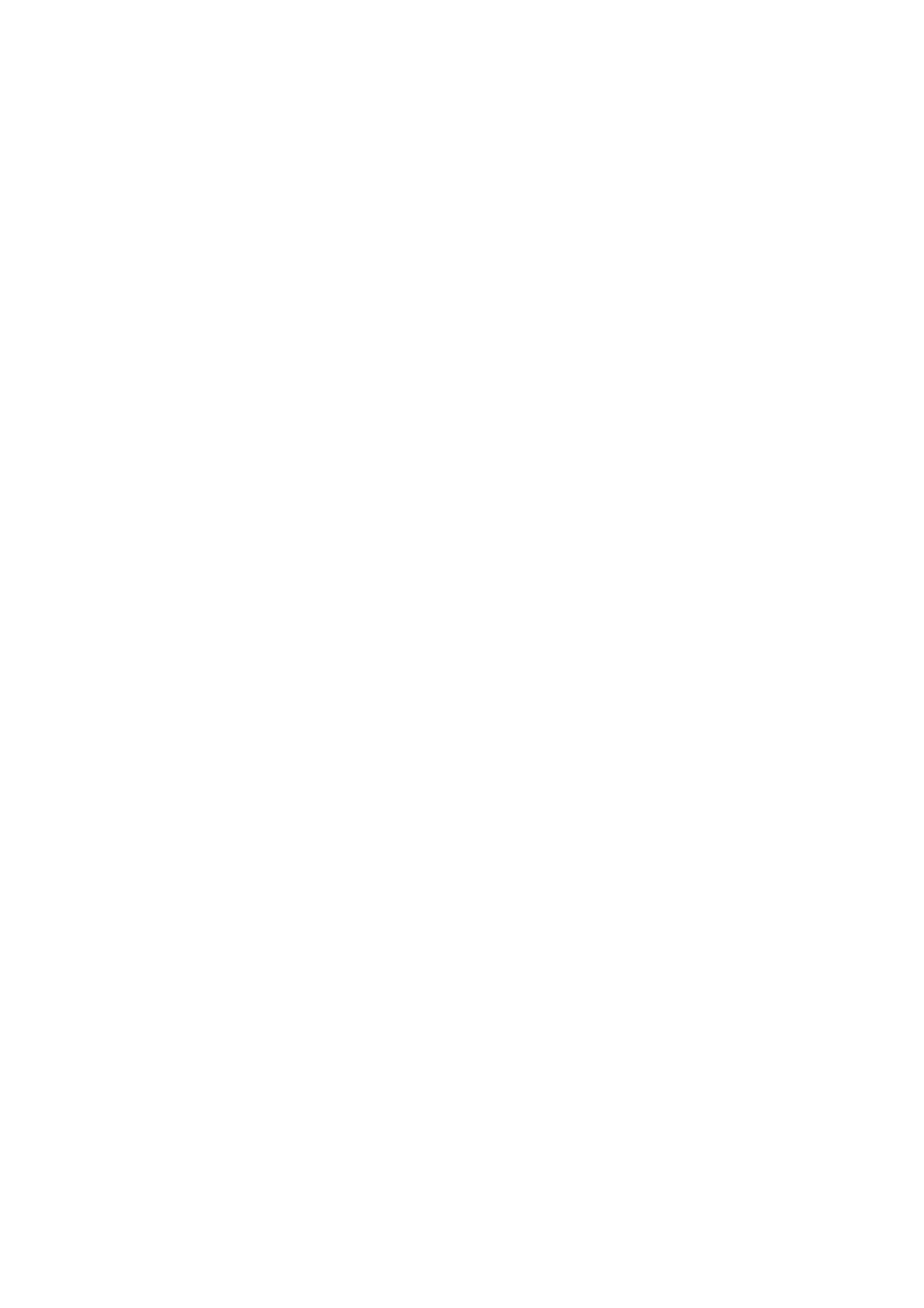| ---- |  |
|------|--|
|      |  |
|      |  |
|      |  |
|      |  |
|      |  |
|      |  |
|      |  |
|      |  |
|      |  |
|      |  |
|      |  |
|      |  |
|      |  |
|      |  |
|      |  |
|      |  |
|      |  |
|      |  |
|      |  |
|      |  |
|      |  |
|      |  |
|      |  |
|      |  |
|      |  |
|      |  |
|      |  |
|      |  |
|      |  |
|      |  |
|      |  |
|      |  |
|      |  |
|      |  |
|      |  |
|      |  |
|      |  |
|      |  |
|      |  |
|      |  |
|      |  |
|      |  |
|      |  |
|      |  |
|      |  |
|      |  |
|      |  |
|      |  |
|      |  |
|      |  |
|      |  |
|      |  |
|      |  |
|      |  |
|      |  |
|      |  |
|      |  |
|      |  |

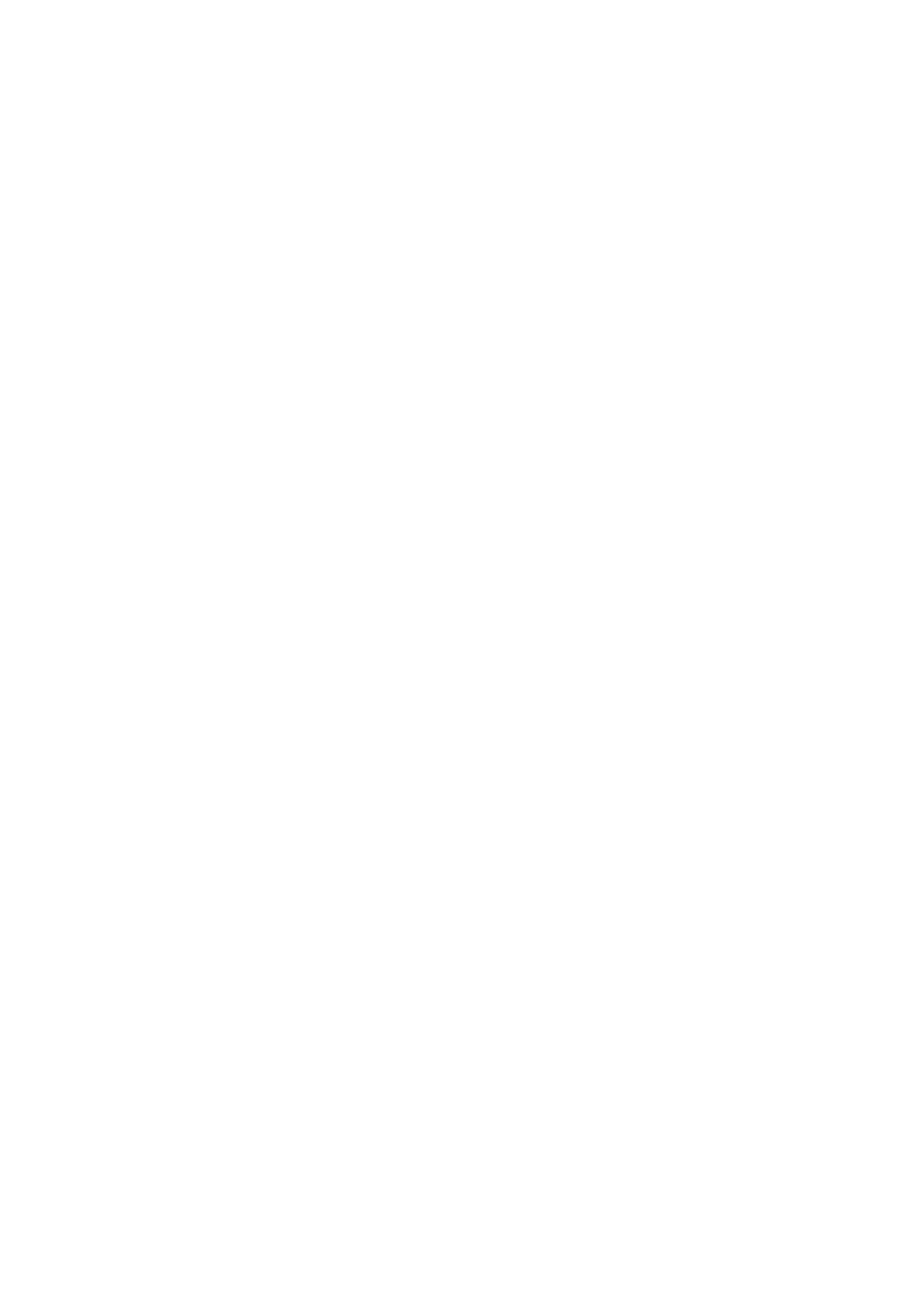| ---- |  |
|------|--|
|      |  |
|      |  |
|      |  |
|      |  |
|      |  |
|      |  |
|      |  |
|      |  |
|      |  |
|      |  |
|      |  |
|      |  |
|      |  |
|      |  |
|      |  |
|      |  |
|      |  |
|      |  |
|      |  |
|      |  |
|      |  |
|      |  |
|      |  |
|      |  |
|      |  |
|      |  |
|      |  |
|      |  |
|      |  |
|      |  |
|      |  |
|      |  |
|      |  |
|      |  |
|      |  |
|      |  |
|      |  |
|      |  |
|      |  |
|      |  |
|      |  |
|      |  |
|      |  |
|      |  |
|      |  |
|      |  |
|      |  |
|      |  |
|      |  |
|      |  |
|      |  |
|      |  |
|      |  |
|      |  |
|      |  |
|      |  |
|      |  |
|      |  |

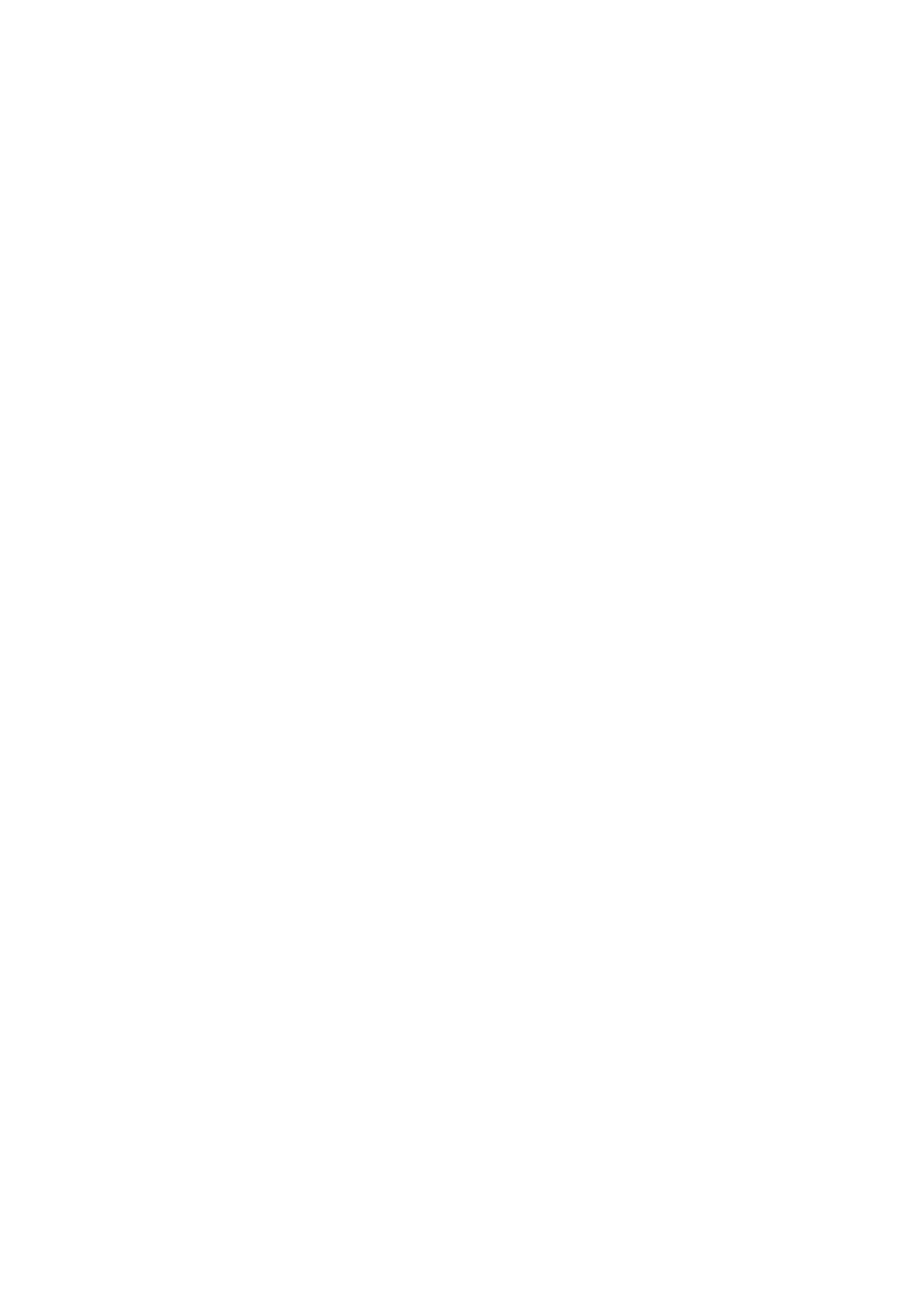| ---- |  |
|------|--|
|      |  |
|      |  |
|      |  |
|      |  |
|      |  |
|      |  |
|      |  |
|      |  |
|      |  |
|      |  |
|      |  |
|      |  |
|      |  |
|      |  |
|      |  |
|      |  |
|      |  |
|      |  |
|      |  |
|      |  |
|      |  |
|      |  |
|      |  |
|      |  |
|      |  |
|      |  |
|      |  |
|      |  |
|      |  |
|      |  |
|      |  |
|      |  |
|      |  |
|      |  |
|      |  |
|      |  |
|      |  |
|      |  |
|      |  |
|      |  |
|      |  |
|      |  |
|      |  |
|      |  |
|      |  |
|      |  |
|      |  |
|      |  |
|      |  |
|      |  |
|      |  |
|      |  |
|      |  |
|      |  |
|      |  |
|      |  |
|      |  |
|      |  |

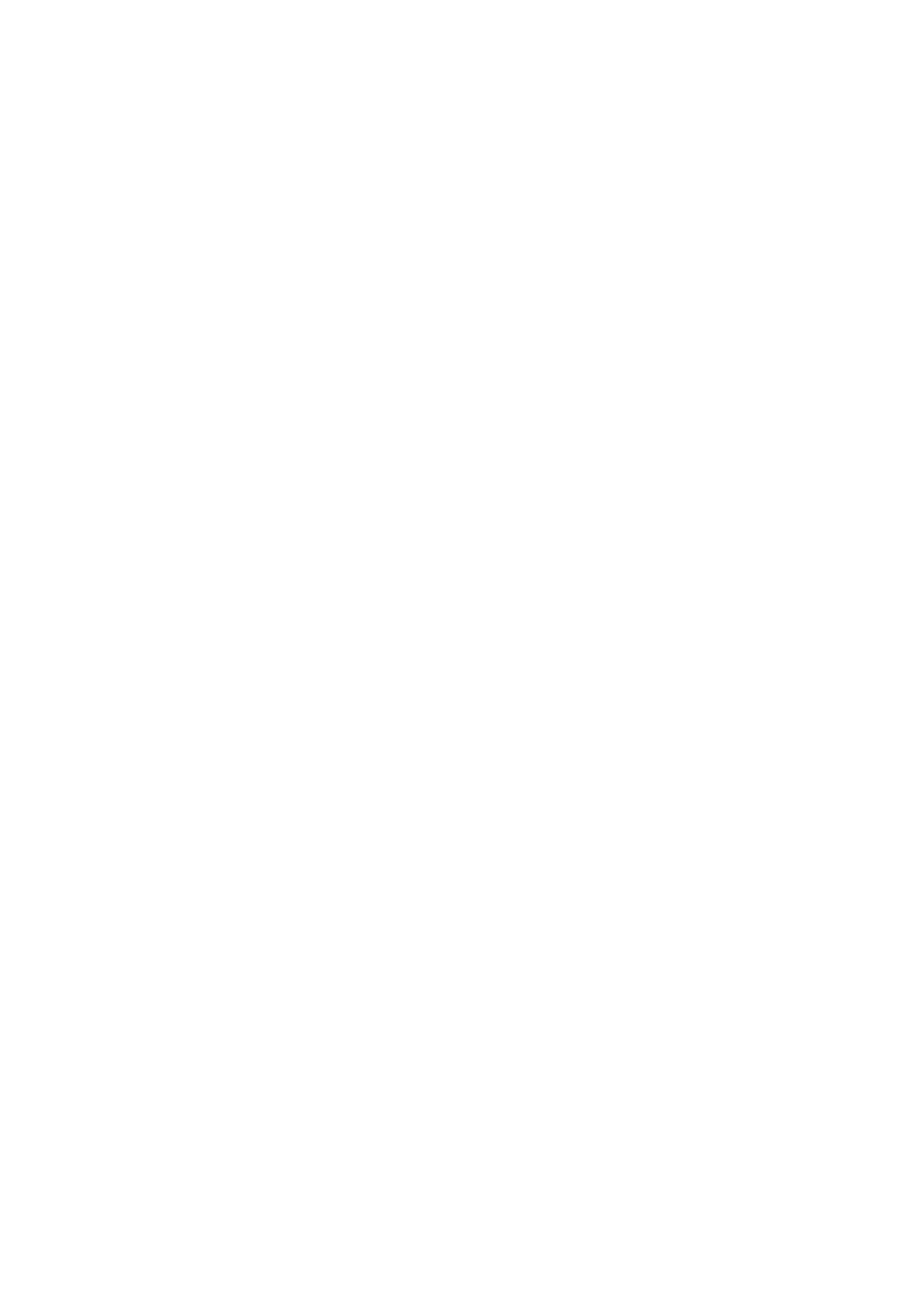| ---- |  |
|------|--|
|      |  |
|      |  |
|      |  |
|      |  |
|      |  |
|      |  |
|      |  |
|      |  |
|      |  |
|      |  |
|      |  |
|      |  |
|      |  |
|      |  |
|      |  |
|      |  |
|      |  |
|      |  |
|      |  |
|      |  |
|      |  |
|      |  |
|      |  |
|      |  |
|      |  |
|      |  |
|      |  |
|      |  |
|      |  |
|      |  |
|      |  |
|      |  |
|      |  |
|      |  |
|      |  |
|      |  |
|      |  |
|      |  |
|      |  |
|      |  |
|      |  |
|      |  |
|      |  |
|      |  |
|      |  |
|      |  |
|      |  |
|      |  |
|      |  |
|      |  |
|      |  |
|      |  |
|      |  |
|      |  |
|      |  |
|      |  |
|      |  |
|      |  |